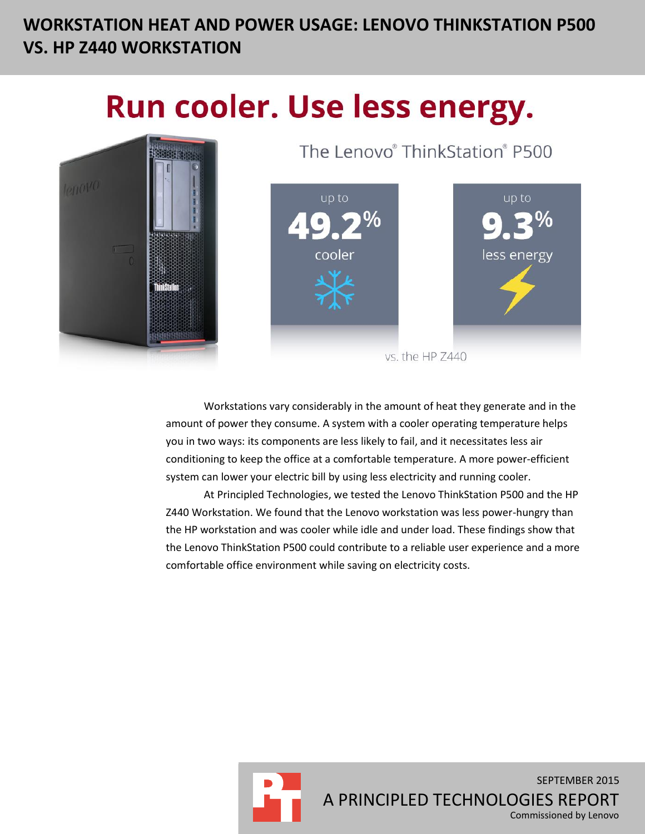# **WORKSTATION HEAT AND POWER USAGE: LENOVO THINKSTATION P500 VS. HP Z440 WORKSTATION**

# Run cooler. Use less energy.



The Lenovo® ThinkStation® P500



vs. the HP Z440

Workstations vary considerably in the amount of heat they generate and in the amount of power they consume. A system with a cooler operating temperature helps you in two ways: its components are less likely to fail, and it necessitates less air conditioning to keep the office at a comfortable temperature. A more power-efficient system can lower your electric bill by using less electricity and running cooler.

At Principled Technologies, we tested the Lenovo ThinkStation P500 and the HP Z440 Workstation. We found that the Lenovo workstation was less power-hungry than the HP workstation and was cooler while idle and under load. These findings show that the Lenovo ThinkStation P500 could contribute to a reliable user experience and a more comfortable office environment while saving on electricity costs.



SEPTEMBER 2015 A PRINCIPLED TECHNOLOGIES REPORT Commissioned by Lenovo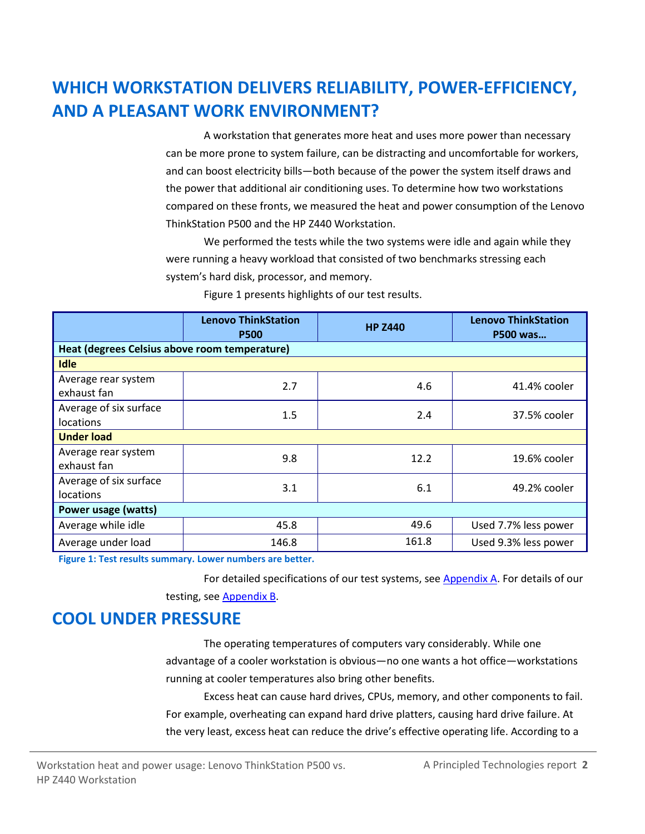# **WHICH WORKSTATION DELIVERS RELIABILITY, POWER-EFFICIENCY, AND A PLEASANT WORK ENVIRONMENT?**

A workstation that generates more heat and uses more power than necessary can be more prone to system failure, can be distracting and uncomfortable for workers, and can boost electricity bills—both because of the power the system itself draws and the power that additional air conditioning uses. To determine how two workstations compared on these fronts, we measured the heat and power consumption of the Lenovo ThinkStation P500 and the HP Z440 Workstation.

We performed the tests while the two systems were idle and again while they were running a heavy workload that consisted of two benchmarks stressing each system's hard disk, processor, and memory.

|                                               | <b>Lenovo ThinkStation</b><br><b>P500</b> | <b>HP Z440</b> | <b>Lenovo ThinkStation</b><br>P500 was |  |  |
|-----------------------------------------------|-------------------------------------------|----------------|----------------------------------------|--|--|
| Heat (degrees Celsius above room temperature) |                                           |                |                                        |  |  |
| <b>Idle</b>                                   |                                           |                |                                        |  |  |
| Average rear system<br>exhaust fan            | 2.7                                       | 4.6            | 41.4% cooler                           |  |  |
| Average of six surface<br>locations           | 1.5                                       | 2.4            | 37.5% cooler                           |  |  |
| <b>Under load</b>                             |                                           |                |                                        |  |  |
| Average rear system<br>exhaust fan            | 9.8                                       | 12.2           | 19.6% cooler                           |  |  |
| Average of six surface<br>locations           | 3.1                                       | 6.1            | 49.2% cooler                           |  |  |
| Power usage (watts)                           |                                           |                |                                        |  |  |
| Average while idle                            | 45.8                                      | 49.6           | Used 7.7% less power                   |  |  |
| Average under load                            | 146.8                                     | 161.8          | Used 9.3% less power                   |  |  |

Figure 1 presents highlights of our test results.

**Figure 1: Test results summary. Lower numbers are better.**

For detailed specifications of our test systems, see [Appendix A.](#page-4-0) For details of our testing, see [Appendix B.](#page-7-0)

### **COOL UNDER PRESSURE**

The operating temperatures of computers vary considerably. While one advantage of a cooler workstation is obvious—no one wants a hot office—workstations running at cooler temperatures also bring other benefits.

Excess heat can cause hard drives, CPUs, memory, and other components to fail. For example, overheating can expand hard drive platters, causing hard drive failure. At the very least, excess heat can reduce the drive's effective operating life. According to a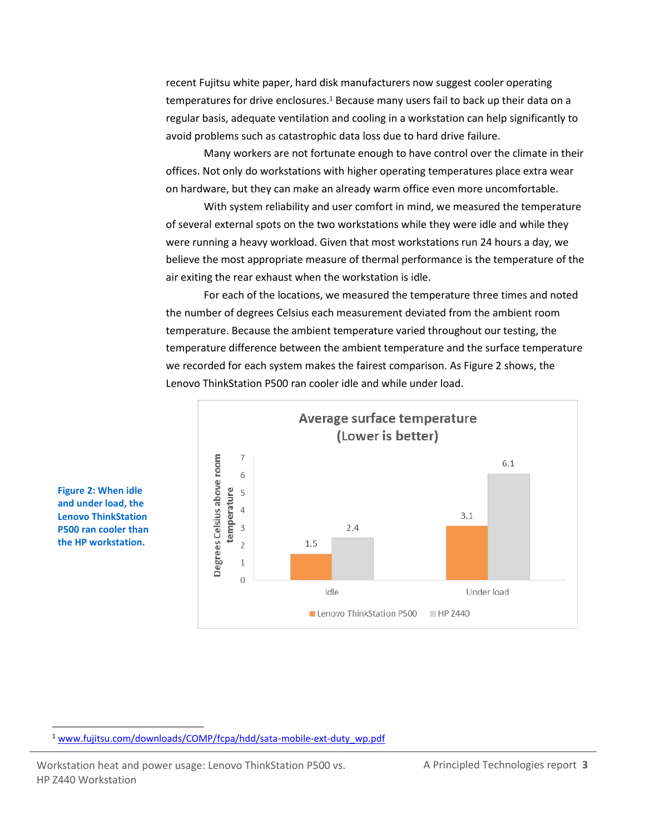recent Fujitsu white paper, hard disk manufacturers now suggest cooler operating temperatures for drive enclosures.<sup>1</sup> Because many users fail to back up their data on a regular basis, adequate ventilation and cooling in a workstation can help significantly to avoid problems such as catastrophic data loss due to hard drive failure.

Many workers are not fortunate enough to have control over the climate in their offices. Not only do workstations with higher operating temperatures place extra wear on hardware, but they can make an already warm office even more uncomfortable.

With system reliability and user comfort in mind, we measured the temperature of several external spots on the two workstations while they were idle and while they were running a heavy workload. Given that most workstations run 24 hours a day, we believe the most appropriate measure of thermal performance is the temperature of the air exiting the rear exhaust when the workstation is idle.

For each of the locations, we measured the temperature three times and noted the number of degrees Celsius each measurement deviated from the ambient room temperature. Because the ambient temperature varied throughout our testing, the temperature difference between the ambient temperature and the surface temperature we recorded for each system makes the fairest comparison. As Figure 2 shows, the Lenovo ThinkStation P500 ran cooler idle and while under load.



**Figure 2: When idle and under load, the Lenovo ThinkStation P500 ran cooler than the HP workstation.**

 $\overline{a}$ 

<sup>1</sup> [www.fujitsu.com/downloads/COMP/fcpa/hdd/sata-mobile-ext-duty\\_wp.pdf](http://www.fujitsu.com/downloads/COMP/fcpa/hdd/sata-mobile-ext-duty_wp.pdf)

Workstation heat and power usage: Lenovo ThinkStation P500 vs. A Principled Technologies report 3 HP Z440 Workstation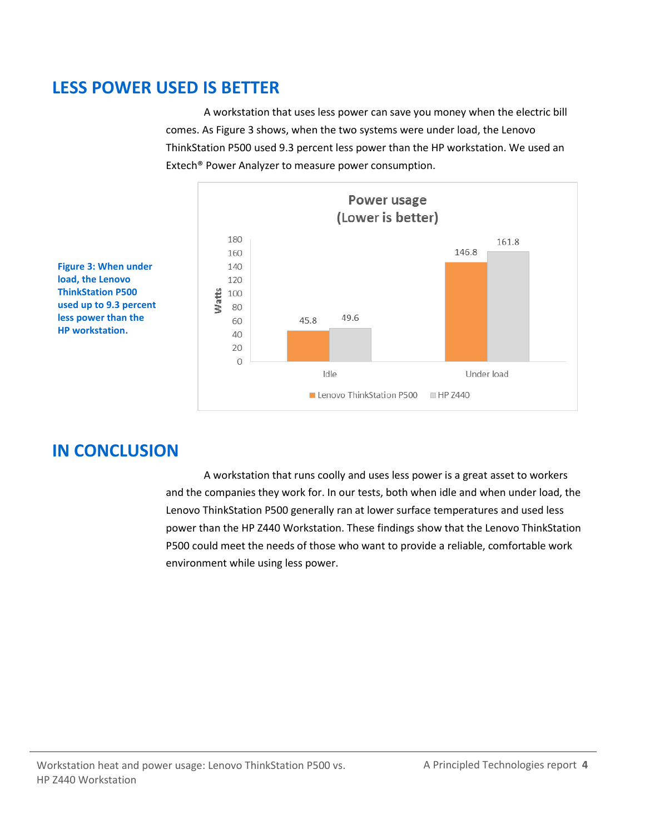### **LESS POWER USED IS BETTER**

A workstation that uses less power can save you money when the electric bill comes. As Figure 3 shows, when the two systems were under load, the Lenovo ThinkStation P500 used 9.3 percent less power than the HP workstation. We used an Extech® Power Analyzer to measure power consumption.



**Figure 3: When under load, the Lenovo ThinkStation P500 used up to 9.3 percent less power than the HP workstation.**

# **IN CONCLUSION**

A workstation that runs coolly and uses less power is a great asset to workers and the companies they work for. In our tests, both when idle and when under load, the Lenovo ThinkStation P500 generally ran at lower surface temperatures and used less power than the HP Z440 Workstation. These findings show that the Lenovo ThinkStation P500 could meet the needs of those who want to provide a reliable, comfortable work environment while using less power.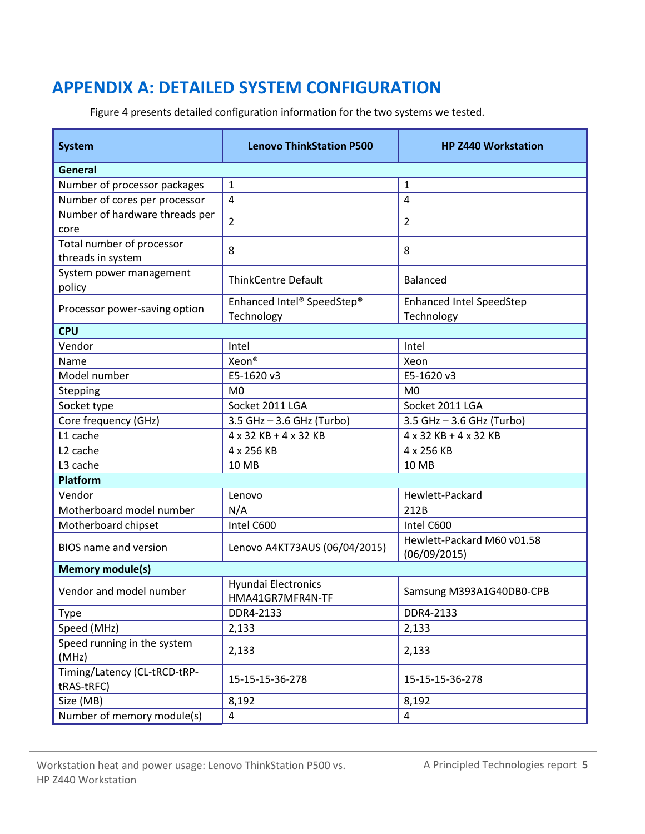# <span id="page-4-0"></span>**APPENDIX A: DETAILED SYSTEM CONFIGURATION**

Figure 4 presents detailed configuration information for the two systems we tested.

| <b>System</b>                                  | <b>Lenovo ThinkStation P500</b>                | <b>HP Z440 Workstation</b>                    |  |  |  |
|------------------------------------------------|------------------------------------------------|-----------------------------------------------|--|--|--|
| <b>General</b>                                 |                                                |                                               |  |  |  |
| Number of processor packages                   | $\mathbf{1}$                                   | $\mathbf{1}$                                  |  |  |  |
| Number of cores per processor                  | $\overline{4}$                                 | $\overline{4}$                                |  |  |  |
| Number of hardware threads per<br>core         | $\overline{2}$                                 | 2                                             |  |  |  |
| Total number of processor<br>threads in system | 8                                              | 8                                             |  |  |  |
| System power management<br>policy              | <b>ThinkCentre Default</b>                     | <b>Balanced</b>                               |  |  |  |
| Processor power-saving option                  | Enhanced Intel® SpeedStep®<br>Technology       | <b>Enhanced Intel SpeedStep</b><br>Technology |  |  |  |
| <b>CPU</b>                                     |                                                |                                               |  |  |  |
| Vendor                                         | Intel                                          | Intel                                         |  |  |  |
| Name                                           | Xeon®                                          | Xeon                                          |  |  |  |
| Model number                                   | E5-1620 v3                                     | E5-1620 v3                                    |  |  |  |
| Stepping                                       | M <sub>0</sub>                                 | M <sub>0</sub>                                |  |  |  |
| Socket type                                    | Socket 2011 LGA                                | Socket 2011 LGA                               |  |  |  |
| Core frequency (GHz)                           | 3.5 GHz - 3.6 GHz (Turbo)                      | 3.5 GHz - 3.6 GHz (Turbo)                     |  |  |  |
| L1 cache                                       | 4 x 32 KB + 4 x 32 KB                          | 4 x 32 KB + 4 x 32 KB                         |  |  |  |
| L <sub>2</sub> cache                           | 4 x 256 KB                                     | 4 x 256 KB                                    |  |  |  |
| L3 cache                                       | 10 MB                                          | <b>10 MB</b>                                  |  |  |  |
| <b>Platform</b>                                |                                                |                                               |  |  |  |
| Vendor                                         | Lenovo                                         | Hewlett-Packard                               |  |  |  |
| Motherboard model number                       | N/A                                            | 212B                                          |  |  |  |
| Motherboard chipset                            | Intel C600                                     | Intel C600                                    |  |  |  |
| <b>BIOS</b> name and version                   | Lenovo A4KT73AUS (06/04/2015)                  | Hewlett-Packard M60 v01.58<br>(06/09/2015)    |  |  |  |
| <b>Memory module(s)</b>                        |                                                |                                               |  |  |  |
| Vendor and model number                        | <b>Hyundai Electronics</b><br>HMA41GR7MFR4N-TF | Samsung M393A1G40DB0-CPB                      |  |  |  |
| <b>Type</b>                                    | DDR4-2133                                      | DDR4-2133                                     |  |  |  |
| Speed (MHz)                                    | 2,133                                          | 2,133                                         |  |  |  |
| Speed running in the system<br>(MHz)           | 2,133                                          | 2,133                                         |  |  |  |
| Timing/Latency (CL-tRCD-tRP-<br>tRAS-tRFC)     | 15-15-15-36-278                                | 15-15-15-36-278                               |  |  |  |
| Size (MB)                                      | 8,192                                          | 8,192                                         |  |  |  |
| Number of memory module(s)                     | $\overline{a}$                                 | 4                                             |  |  |  |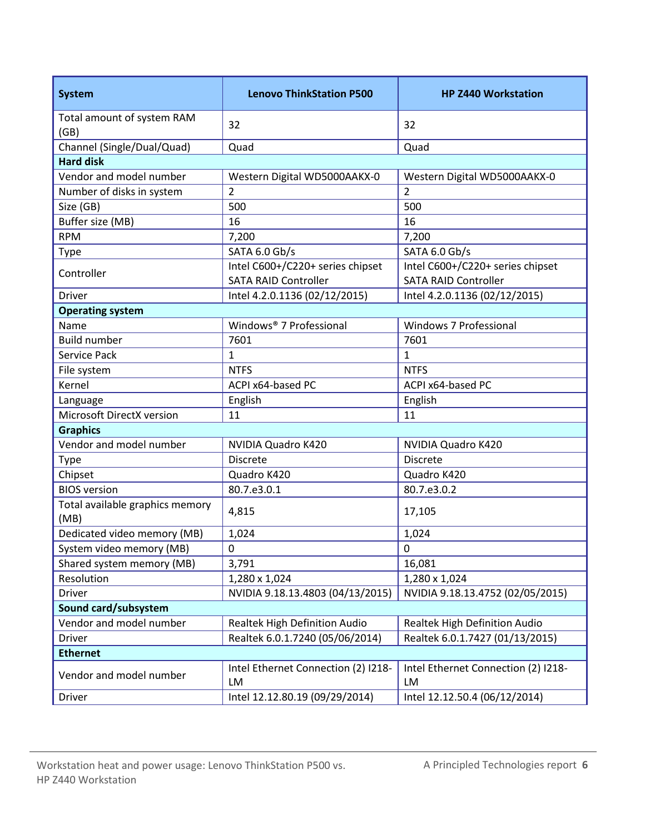| <b>System</b>                           | <b>Lenovo ThinkStation P500</b>                                 | <b>HP Z440 Workstation</b>                                      |  |  |  |
|-----------------------------------------|-----------------------------------------------------------------|-----------------------------------------------------------------|--|--|--|
| Total amount of system RAM<br>(GB)      | 32                                                              | 32                                                              |  |  |  |
| Channel (Single/Dual/Quad)              | Quad                                                            | Quad                                                            |  |  |  |
| <b>Hard disk</b>                        |                                                                 |                                                                 |  |  |  |
| Vendor and model number                 | Western Digital WD5000AAKX-0                                    | Western Digital WD5000AAKX-0                                    |  |  |  |
| Number of disks in system               | $\overline{2}$                                                  | 2                                                               |  |  |  |
| Size (GB)                               | 500                                                             | 500                                                             |  |  |  |
| Buffer size (MB)                        | 16                                                              | 16                                                              |  |  |  |
| <b>RPM</b>                              | 7,200                                                           | 7,200                                                           |  |  |  |
| Type                                    | SATA 6.0 Gb/s                                                   | SATA 6.0 Gb/s                                                   |  |  |  |
| Controller                              | Intel C600+/C220+ series chipset<br><b>SATA RAID Controller</b> | Intel C600+/C220+ series chipset<br><b>SATA RAID Controller</b> |  |  |  |
| Driver                                  | Intel 4.2.0.1136 (02/12/2015)                                   | Intel 4.2.0.1136 (02/12/2015)                                   |  |  |  |
| <b>Operating system</b>                 |                                                                 |                                                                 |  |  |  |
| Name                                    | Windows® 7 Professional                                         | <b>Windows 7 Professional</b>                                   |  |  |  |
| <b>Build number</b>                     | 7601                                                            | 7601                                                            |  |  |  |
| Service Pack                            | $\mathbf{1}$                                                    | $\mathbf{1}$                                                    |  |  |  |
| File system                             | <b>NTFS</b>                                                     | <b>NTFS</b>                                                     |  |  |  |
| Kernel                                  | ACPI x64-based PC                                               | ACPI x64-based PC                                               |  |  |  |
| Language                                | English                                                         | English                                                         |  |  |  |
| Microsoft DirectX version               | 11                                                              | 11                                                              |  |  |  |
| <b>Graphics</b>                         |                                                                 |                                                                 |  |  |  |
| Vendor and model number                 | NVIDIA Quadro K420                                              | NVIDIA Quadro K420                                              |  |  |  |
| Type                                    | <b>Discrete</b>                                                 | <b>Discrete</b>                                                 |  |  |  |
| Chipset                                 | Quadro K420                                                     | Quadro K420                                                     |  |  |  |
| <b>BIOS</b> version                     | 80.7.e3.0.1                                                     | 80.7.e3.0.2                                                     |  |  |  |
| Total available graphics memory<br>(MB) | 4,815                                                           | 17,105                                                          |  |  |  |
| Dedicated video memory (MB)             | 1,024                                                           | 1,024                                                           |  |  |  |
| System video memory (MB)                | $\pmb{0}$                                                       | 0                                                               |  |  |  |
| Shared system memory (MB)               | 3,791                                                           | 16,081                                                          |  |  |  |
| Resolution                              | 1,280 x 1,024                                                   | 1,280 x 1,024                                                   |  |  |  |
| Driver                                  | NVIDIA 9.18.13.4803 (04/13/2015)                                | NVIDIA 9.18.13.4752 (02/05/2015)                                |  |  |  |
| Sound card/subsystem                    |                                                                 |                                                                 |  |  |  |
| Vendor and model number                 | Realtek High Definition Audio                                   | Realtek High Definition Audio                                   |  |  |  |
| Driver                                  | Realtek 6.0.1.7240 (05/06/2014)                                 | Realtek 6.0.1.7427 (01/13/2015)                                 |  |  |  |
| <b>Ethernet</b>                         |                                                                 |                                                                 |  |  |  |
| Vendor and model number                 | Intel Ethernet Connection (2) I218-<br>LM                       | Intel Ethernet Connection (2) I218-<br>LM                       |  |  |  |
| Driver                                  | Intel 12.12.80.19 (09/29/2014)                                  | Intel 12.12.50.4 (06/12/2014)                                   |  |  |  |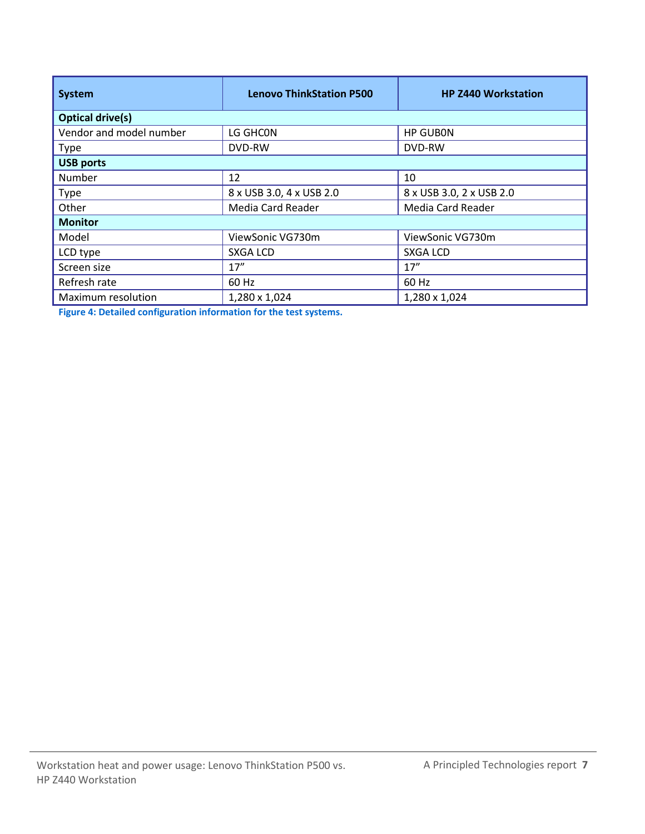| <b>System</b>           | <b>Lenovo ThinkStation P500</b> | <b>HP Z440 Workstation</b> |  |  |  |
|-------------------------|---------------------------------|----------------------------|--|--|--|
| <b>Optical drive(s)</b> |                                 |                            |  |  |  |
| Vendor and model number | LG GHCON                        | <b>HP GUBON</b>            |  |  |  |
| <b>Type</b>             | DVD-RW                          | DVD-RW                     |  |  |  |
| <b>USB ports</b>        |                                 |                            |  |  |  |
| Number                  | 12                              | 10                         |  |  |  |
| Type                    | 8 x USB 3.0, 4 x USB 2.0        | 8 x USB 3.0, 2 x USB 2.0   |  |  |  |
| Other                   | Media Card Reader               | Media Card Reader          |  |  |  |
| <b>Monitor</b>          |                                 |                            |  |  |  |
| Model                   | ViewSonic VG730m                | ViewSonic VG730m           |  |  |  |
| LCD type                | SXGA LCD                        | SXGA LCD                   |  |  |  |
| Screen size             | 17''                            | 17''                       |  |  |  |
| Refresh rate            | 60 Hz                           | 60 Hz                      |  |  |  |
| Maximum resolution      | 1,280 x 1,024                   | 1,280 x 1,024              |  |  |  |

**Figure 4: Detailed configuration information for the test systems.**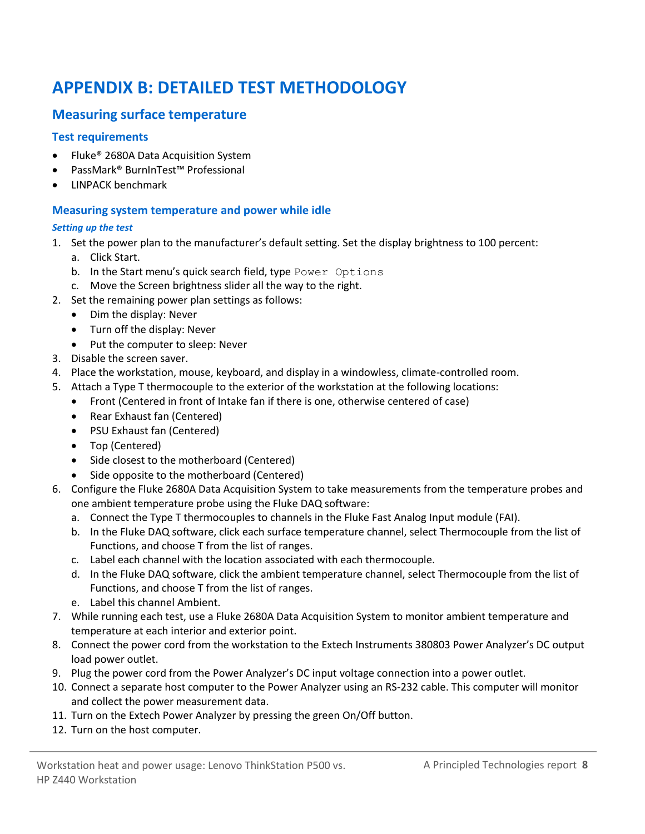# <span id="page-7-0"></span>**APPENDIX B: DETAILED TEST METHODOLOGY**

#### **Measuring surface temperature**

#### **Test requirements**

- Fluke® 2680A Data Acquisition System
- PassMark® BurnInTest™ Professional
- LINPACK benchmark

#### **Measuring system temperature and power while idle**

#### *Setting up the test*

- 1. Set the power plan to the manufacturer's default setting. Set the display brightness to 100 percent: a. Click Start.
	- b. In the Start menu's quick search field, type Power Options
	- c. Move the Screen brightness slider all the way to the right.
- 2. Set the remaining power plan settings as follows:
	- Dim the display: Never
	- Turn off the display: Never
	- Put the computer to sleep: Never
- 3. Disable the screen saver.
- 4. Place the workstation, mouse, keyboard, and display in a windowless, climate-controlled room.
- 5. Attach a Type T thermocouple to the exterior of the workstation at the following locations:
	- Front (Centered in front of Intake fan if there is one, otherwise centered of case)
	- Rear Exhaust fan (Centered)
	- PSU Exhaust fan (Centered)
	- Top (Centered)
	- Side closest to the motherboard (Centered)
	- Side opposite to the motherboard (Centered)
- 6. Configure the Fluke 2680A Data Acquisition System to take measurements from the temperature probes and one ambient temperature probe using the Fluke DAQ software:
	- a. Connect the Type T thermocouples to channels in the Fluke Fast Analog Input module (FAI).
	- b. In the Fluke DAQ software, click each surface temperature channel, select Thermocouple from the list of Functions, and choose T from the list of ranges.
	- c. Label each channel with the location associated with each thermocouple.
	- d. In the Fluke DAQ software, click the ambient temperature channel, select Thermocouple from the list of Functions, and choose T from the list of ranges.
	- e. Label this channel Ambient.
- 7. While running each test, use a Fluke 2680A Data Acquisition System to monitor ambient temperature and temperature at each interior and exterior point.
- 8. Connect the power cord from the workstation to the Extech Instruments 380803 Power Analyzer's DC output load power outlet.
- 9. Plug the power cord from the Power Analyzer's DC input voltage connection into a power outlet.
- 10. Connect a separate host computer to the Power Analyzer using an RS-232 cable. This computer will monitor and collect the power measurement data.
- 11. Turn on the Extech Power Analyzer by pressing the green On/Off button.
- 12. Turn on the host computer.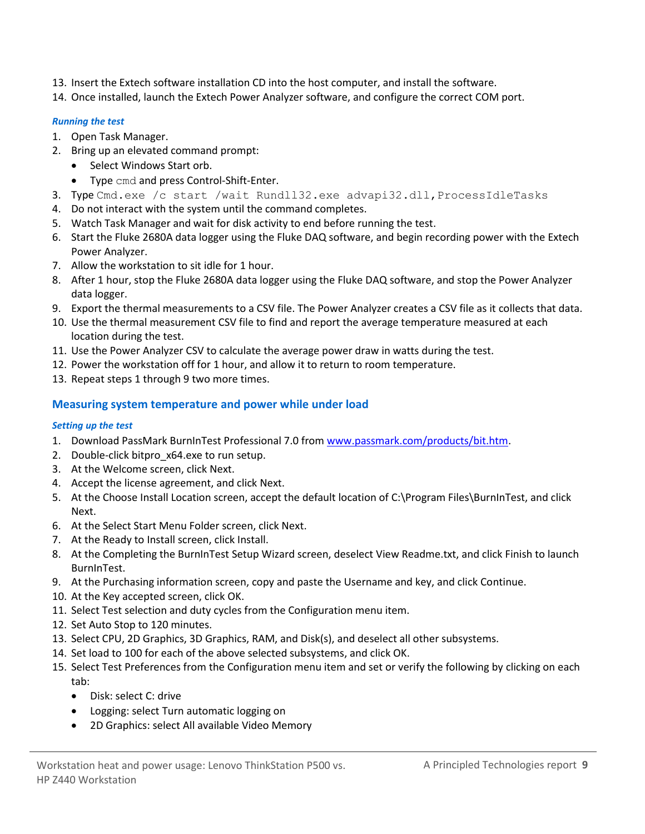- 13. Insert the Extech software installation CD into the host computer, and install the software.
- 14. Once installed, launch the Extech Power Analyzer software, and configure the correct COM port.

#### *Running the test*

- 1. Open Task Manager.
- 2. Bring up an elevated command prompt:
	- Select Windows Start orb.
	- Type cmd and press Control-Shift-Enter.
- 3. Type Cmd.exe /c start /wait Rundll32.exe advapi32.dll, ProcessIdleTasks
- 4. Do not interact with the system until the command completes.
- 5. Watch Task Manager and wait for disk activity to end before running the test.
- 6. Start the Fluke 2680A data logger using the Fluke DAQ software, and begin recording power with the Extech Power Analyzer.
- 7. Allow the workstation to sit idle for 1 hour.
- 8. After 1 hour, stop the Fluke 2680A data logger using the Fluke DAQ software, and stop the Power Analyzer data logger.
- 9. Export the thermal measurements to a CSV file. The Power Analyzer creates a CSV file as it collects that data.
- 10. Use the thermal measurement CSV file to find and report the average temperature measured at each location during the test.
- 11. Use the Power Analyzer CSV to calculate the average power draw in watts during the test.
- 12. Power the workstation off for 1 hour, and allow it to return to room temperature.
- 13. Repeat steps 1 through 9 two more times.

#### **Measuring system temperature and power while under load**

#### *Setting up the test*

- 1. Download PassMark BurnInTest Professional 7.0 from [www.passmark.com/products/bit.htm.](http://www.passmark.com/products/bit.htm)
- 2. Double-click bitpro x64.exe to run setup.
- 3. At the Welcome screen, click Next.
- 4. Accept the license agreement, and click Next.
- 5. At the Choose Install Location screen, accept the default location of C:\Program Files\BurnInTest, and click Next.
- 6. At the Select Start Menu Folder screen, click Next.
- 7. At the Ready to Install screen, click Install.
- 8. At the Completing the BurnInTest Setup Wizard screen, deselect View Readme.txt, and click Finish to launch BurnInTest.
- 9. At the Purchasing information screen, copy and paste the Username and key, and click Continue.
- 10. At the Key accepted screen, click OK.
- 11. Select Test selection and duty cycles from the Configuration menu item.
- 12. Set Auto Stop to 120 minutes.
- 13. Select CPU, 2D Graphics, 3D Graphics, RAM, and Disk(s), and deselect all other subsystems.
- 14. Set load to 100 for each of the above selected subsystems, and click OK.
- 15. Select Test Preferences from the Configuration menu item and set or verify the following by clicking on each tab:
	- Disk: select C: drive
	- Logging: select Turn automatic logging on
	- 2D Graphics: select All available Video Memory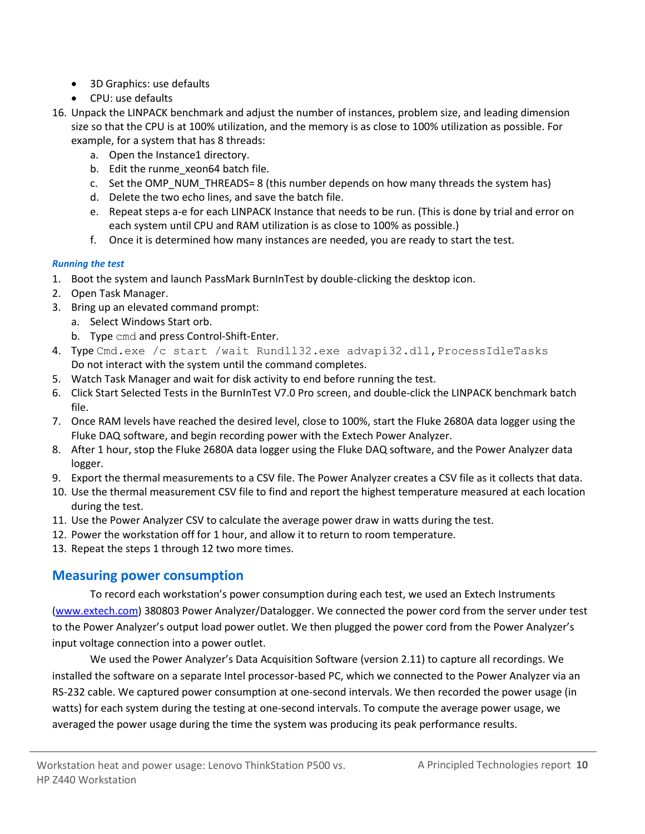- 3D Graphics: use defaults
- CPU: use defaults
- 16. Unpack the LINPACK benchmark and adjust the number of instances, problem size, and leading dimension size so that the CPU is at 100% utilization, and the memory is as close to 100% utilization as possible. For example, for a system that has 8 threads:
	- a. Open the Instance1 directory.
	- b. Edit the runme xeon64 batch file.
	- c. Set the OMP\_NUM\_THREADS= 8 (this number depends on how many threads the system has)
	- d. Delete the two echo lines, and save the batch file.
	- e. Repeat steps a-e for each LINPACK Instance that needs to be run. (This is done by trial and error on each system until CPU and RAM utilization is as close to 100% as possible.)
	- f. Once it is determined how many instances are needed, you are ready to start the test.

#### *Running the test*

- 1. Boot the system and launch PassMark BurnInTest by double-clicking the desktop icon.
- 2. Open Task Manager.
- 3. Bring up an elevated command prompt:
	- a. Select Windows Start orb.
	- b. Type cmd and press Control-Shift-Enter.
- 4. Type Cmd.exe /c start /wait Rundll32.exe advapi32.dll, ProcessIdleTasks Do not interact with the system until the command completes.
- 5. Watch Task Manager and wait for disk activity to end before running the test.
- 6. Click Start Selected Tests in the BurnInTest V7.0 Pro screen, and double-click the LINPACK benchmark batch file.
- 7. Once RAM levels have reached the desired level, close to 100%, start the Fluke 2680A data logger using the Fluke DAQ software, and begin recording power with the Extech Power Analyzer.
- 8. After 1 hour, stop the Fluke 2680A data logger using the Fluke DAQ software, and the Power Analyzer data logger.
- 9. Export the thermal measurements to a CSV file. The Power Analyzer creates a CSV file as it collects that data.
- 10. Use the thermal measurement CSV file to find and report the highest temperature measured at each location during the test.
- 11. Use the Power Analyzer CSV to calculate the average power draw in watts during the test.
- 12. Power the workstation off for 1 hour, and allow it to return to room temperature.
- 13. Repeat the steps 1 through 12 two more times.

#### **Measuring power consumption**

To record each workstation's power consumption during each test, we used an Extech Instruments [\(www.extech.com\)](http://www.extech.com/) 380803 Power Analyzer/Datalogger. We connected the power cord from the server under test to the Power Analyzer's output load power outlet. We then plugged the power cord from the Power Analyzer's input voltage connection into a power outlet.

We used the Power Analyzer's Data Acquisition Software (version 2.11) to capture all recordings. We installed the software on a separate Intel processor-based PC, which we connected to the Power Analyzer via an RS-232 cable. We captured power consumption at one-second intervals. We then recorded the power usage (in watts) for each system during the testing at one-second intervals. To compute the average power usage, we averaged the power usage during the time the system was producing its peak performance results.